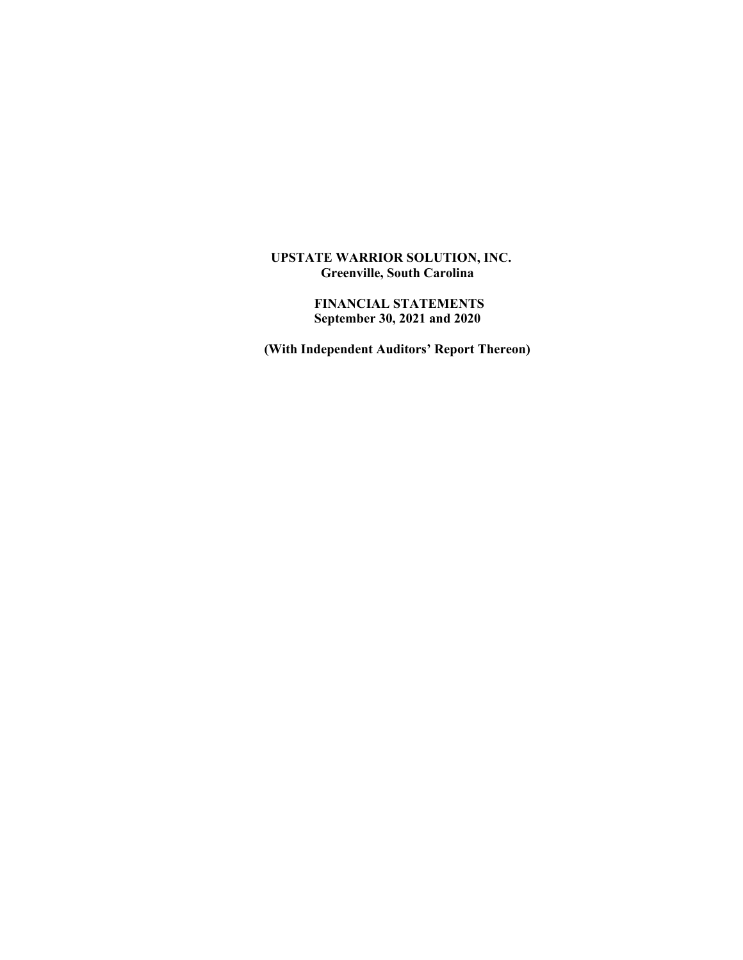## **UPSTATE WARRIOR SOLUTION, INC. Greenville, South Carolina**

 **FINANCIAL STATEMENTS September 30, 2021 and 2020** 

 **(With Independent Auditors' Report Thereon)**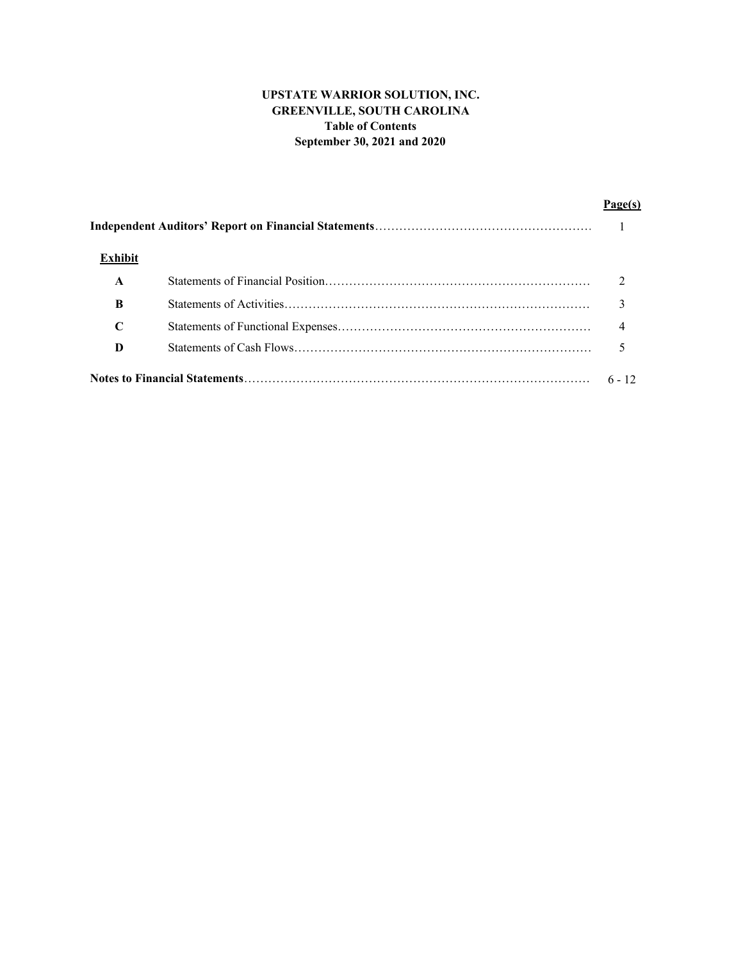# **UPSTATE WARRIOR SOLUTION, INC. GREENVILLE, SOUTH CAROLINA Table of Contents September 30, 2021 and 2020**

| <b>Exhibit</b> |          |
|----------------|----------|
| $\mathbf A$    |          |
| B              |          |
| C              |          |
| D              |          |
|                | $6 - 12$ |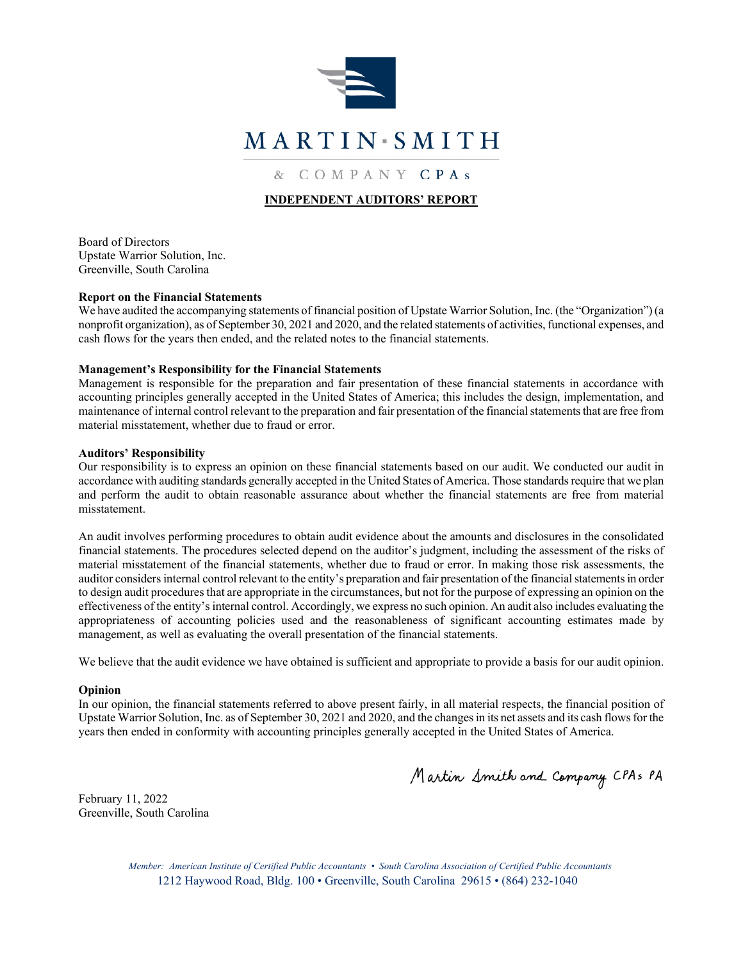

& COMPANY CPAS

# **INDEPENDENT AUDITORS' REPORT**

Board of Directors Upstate Warrior Solution, Inc. Greenville, South Carolina

### **Report on the Financial Statements**

We have audited the accompanying statements of financial position of Upstate Warrior Solution, Inc. (the "Organization") (a nonprofit organization), as of September 30, 2021 and 2020, and the related statements of activities, functional expenses, and cash flows for the years then ended, and the related notes to the financial statements.

### **Management's Responsibility for the Financial Statements**

Management is responsible for the preparation and fair presentation of these financial statements in accordance with accounting principles generally accepted in the United States of America; this includes the design, implementation, and maintenance of internal control relevant to the preparation and fair presentation of the financial statements that are free from material misstatement, whether due to fraud or error.

#### **Auditors' Responsibility**

Our responsibility is to express an opinion on these financial statements based on our audit. We conducted our audit in accordance with auditing standards generally accepted in the United States of America. Those standards require that we plan and perform the audit to obtain reasonable assurance about whether the financial statements are free from material misstatement.

An audit involves performing procedures to obtain audit evidence about the amounts and disclosures in the consolidated financial statements. The procedures selected depend on the auditor's judgment, including the assessment of the risks of material misstatement of the financial statements, whether due to fraud or error. In making those risk assessments, the auditor considers internal control relevant to the entity's preparation and fair presentation of the financial statements in order to design audit procedures that are appropriate in the circumstances, but not for the purpose of expressing an opinion on the effectiveness of the entity's internal control. Accordingly, we express no such opinion. An audit also includes evaluating the appropriateness of accounting policies used and the reasonableness of significant accounting estimates made by management, as well as evaluating the overall presentation of the financial statements.

We believe that the audit evidence we have obtained is sufficient and appropriate to provide a basis for our audit opinion.

#### **Opinion**

In our opinion, the financial statements referred to above present fairly, in all material respects, the financial position of Upstate Warrior Solution, Inc. as of September 30, 2021 and 2020, and the changes in its net assets and its cash flows for the years then ended in conformity with accounting principles generally accepted in the United States of America.

Martin Smith and Company CPAs PA

February 11, 2022 Greenville, South Carolina

> *Member: American Institute of Certified Public Accountants • South Carolina Association of Certified Public Accountants*  1212 Haywood Road, Bldg. 100 • Greenville, South Carolina 29615 • (864) 232-1040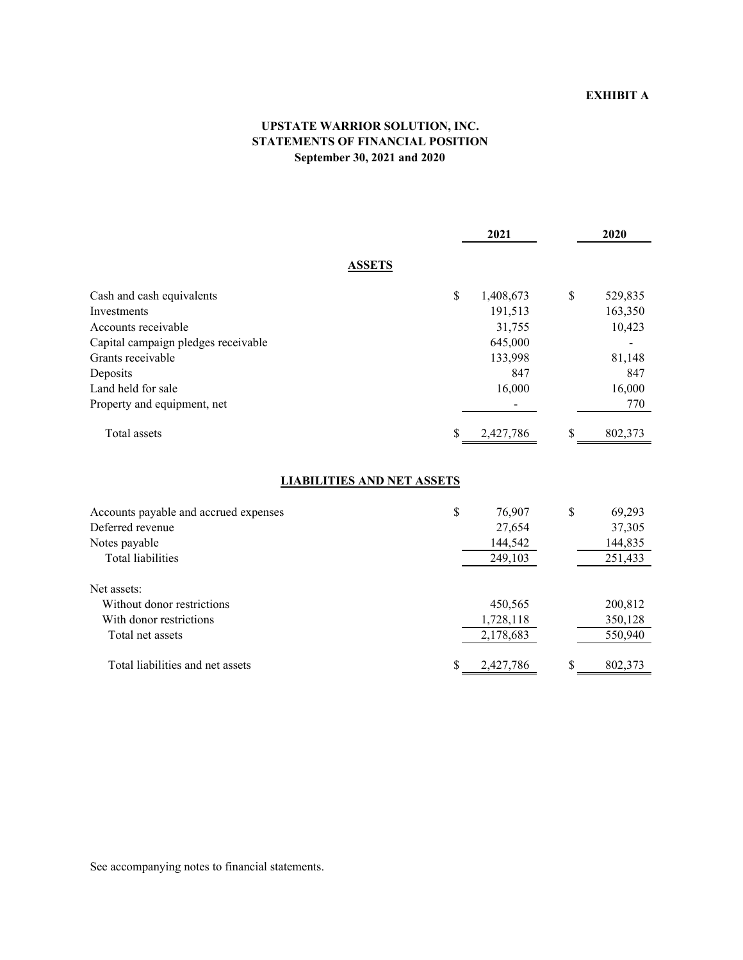# **EXHIBIT A**

# **UPSTATE WARRIOR SOLUTION, INC. STATEMENTS OF FINANCIAL POSITION September 30, 2021 and 2020**

|                                     | 2021            | 2020          |
|-------------------------------------|-----------------|---------------|
| <b>ASSETS</b>                       |                 |               |
| Cash and cash equivalents           | \$<br>1,408,673 | \$<br>529,835 |
| Investments                         | 191,513         | 163,350       |
| Accounts receivable                 | 31,755          | 10,423        |
| Capital campaign pledges receivable | 645,000         |               |
| Grants receivable                   | 133,998         | 81,148        |
| Deposits                            | 847             | 847           |
| Land held for sale                  | 16,000          | 16,000        |
| Property and equipment, net         |                 | 770           |
| Total assets                        | 2,427,786       | \$<br>802,373 |

## **LIABILITIES AND NET ASSETS**

| Accounts payable and accrued expenses | \$<br>76,907 | \$ | 69,293  |
|---------------------------------------|--------------|----|---------|
| Deferred revenue                      | 27,654       |    | 37,305  |
| Notes payable                         | 144,542      |    | 144,835 |
| <b>Total liabilities</b>              | 249,103      |    | 251,433 |
| Net assets:                           |              |    |         |
| Without donor restrictions            | 450,565      |    | 200,812 |
| With donor restrictions               | 1,728,118    |    | 350,128 |
| Total net assets                      | 2,178,683    |    | 550,940 |
| Total liabilities and net assets      | 2,427,786    | S  | 802,373 |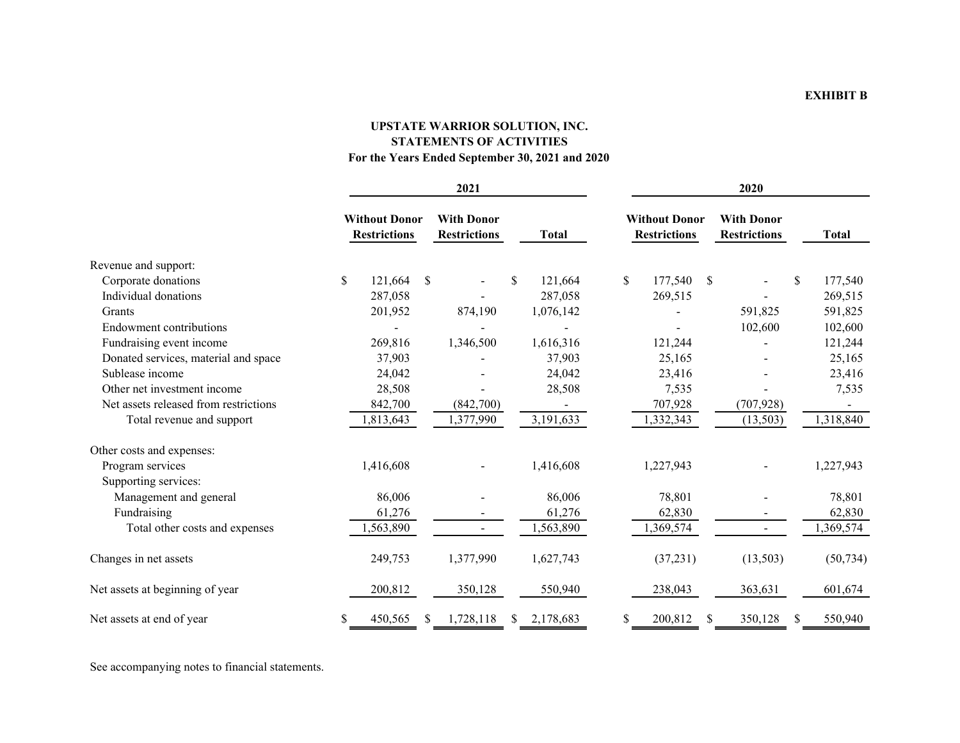# **UPSTATE WARRIOR SOLUTION, INC. STATEMENTS OF ACTIVITIESFor the Years Ended September 30, 2021 and 2020**

|                                       | 2021 |                                             |               |                                          | 2020          |    |                                             |               |                                          |               |              |
|---------------------------------------|------|---------------------------------------------|---------------|------------------------------------------|---------------|----|---------------------------------------------|---------------|------------------------------------------|---------------|--------------|
|                                       |      | <b>Without Donor</b><br><b>Restrictions</b> |               | <b>With Donor</b><br><b>Restrictions</b> | <b>Total</b>  |    | <b>Without Donor</b><br><b>Restrictions</b> |               | <b>With Donor</b><br><b>Restrictions</b> |               | <b>Total</b> |
| Revenue and support:                  |      |                                             |               |                                          |               |    |                                             |               |                                          |               |              |
| Corporate donations                   | \$   | 121,664                                     | <sup>\$</sup> |                                          | \$<br>121,664 | \$ | 177,540                                     | <sup>\$</sup> |                                          | <sup>\$</sup> | 177,540      |
| Individual donations                  |      | 287,058                                     |               |                                          | 287,058       |    | 269,515                                     |               |                                          |               | 269,515      |
| Grants                                |      | 201,952                                     |               | 874,190                                  | 1,076,142     |    |                                             |               | 591,825                                  |               | 591,825      |
| Endowment contributions               |      |                                             |               |                                          |               |    |                                             |               | 102,600                                  |               | 102,600      |
| Fundraising event income              |      | 269,816                                     |               | 1,346,500                                | 1,616,316     |    | 121,244                                     |               |                                          |               | 121,244      |
| Donated services, material and space  |      | 37,903                                      |               |                                          | 37,903        |    | 25,165                                      |               |                                          |               | 25,165       |
| Sublease income                       |      | 24,042                                      |               |                                          | 24,042        |    | 23,416                                      |               |                                          |               | 23,416       |
| Other net investment income           |      | 28,508                                      |               |                                          | 28,508        |    | 7,535                                       |               |                                          |               | 7,535        |
| Net assets released from restrictions |      | 842,700                                     |               | (842,700)                                |               |    | 707,928                                     |               | (707, 928)                               |               |              |
| Total revenue and support             |      | 1,813,643                                   |               | 1,377,990                                | 3,191,633     |    | 1,332,343                                   |               | (13, 503)                                |               | 1,318,840    |
| Other costs and expenses:             |      |                                             |               |                                          |               |    |                                             |               |                                          |               |              |
| Program services                      |      | 1,416,608                                   |               |                                          | 1,416,608     |    | 1,227,943                                   |               |                                          |               | 1,227,943    |
| Supporting services:                  |      |                                             |               |                                          |               |    |                                             |               |                                          |               |              |
| Management and general                |      | 86,006                                      |               |                                          | 86,006        |    | 78,801                                      |               |                                          |               | 78,801       |
| Fundraising                           |      | 61,276                                      |               |                                          | 61,276        |    | 62,830                                      |               |                                          |               | 62,830       |
| Total other costs and expenses        |      | ,563,890                                    |               | $\blacksquare$                           | 1,563,890     |    | 1,369,574                                   |               | $\blacksquare$                           |               | 1,369,574    |
| Changes in net assets                 |      | 249,753                                     |               | 1,377,990                                | 1,627,743     |    | (37,231)                                    |               | (13,503)                                 |               | (50, 734)    |
| Net assets at beginning of year       |      | 200,812                                     |               | 350,128                                  | 550,940       |    | 238,043                                     |               | 363,631                                  |               | 601,674      |
| Net assets at end of year             | \$   | 450,565                                     | S.            | 1,728,118                                | 2,178,683     | S  | 200,812                                     |               | 350,128                                  |               | 550,940      |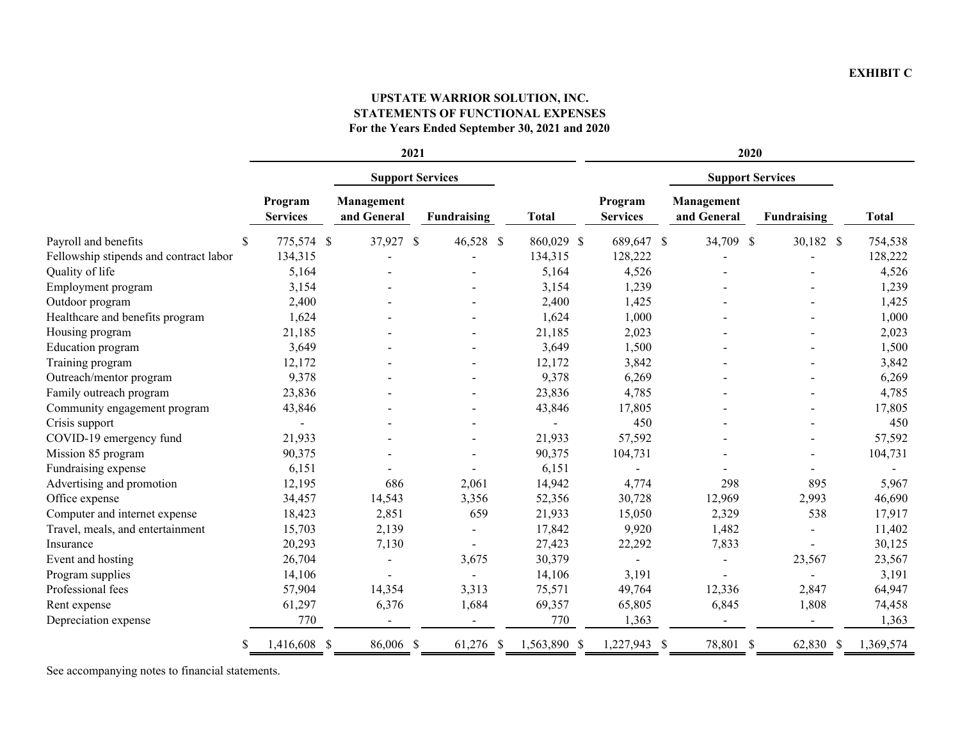#### **EXHIBIT C**

# **UPSTATE WARRIOR SOLUTION, INC. STATEMENTS OF FUNCTIONAL EXPENSES For the Years Ended September 30, 2021 and 2020**

|                                        | 2021                       |                           |                    |              | 2020                       |                           |                    |              |  |
|----------------------------------------|----------------------------|---------------------------|--------------------|--------------|----------------------------|---------------------------|--------------------|--------------|--|
|                                        |                            | <b>Support Services</b>   |                    |              |                            | <b>Support Services</b>   |                    |              |  |
|                                        | Program<br><b>Services</b> | Management<br>and General | <b>Fundraising</b> | <b>Total</b> | Program<br><b>Services</b> | Management<br>and General | <b>Fundraising</b> | <b>Total</b> |  |
| Payroll and benefits<br>S              | 775,574 \$                 | 37,927<br>\$              | 46,528 \$          | 860,029 \$   | 689,647 \$                 | 34,709 \$                 | 30,182 \$          | 754,538      |  |
| Fellowship stipends and contract labor | 134,315                    |                           |                    | 134,315      | 128,222                    |                           |                    | 128,222      |  |
| Quality of life                        | 5,164                      |                           |                    | 5,164        | 4,526                      |                           |                    | 4,526        |  |
| Employment program                     | 3,154                      |                           |                    | 3,154        | 1,239                      |                           |                    | 1,239        |  |
| Outdoor program                        | 2,400                      |                           |                    | 2,400        | 1,425                      |                           |                    | 1,425        |  |
| Healthcare and benefits program        | 1,624                      |                           |                    | 1,624        | 1,000                      |                           |                    | 1,000        |  |
| Housing program                        | 21,185                     |                           |                    | 21,185       | 2,023                      |                           |                    | 2,023        |  |
| Education program                      | 3,649                      |                           |                    | 3,649        | 1,500                      |                           |                    | 1,500        |  |
| Training program                       | 12,172                     |                           |                    | 12,172       | 3,842                      |                           |                    | 3,842        |  |
| Outreach/mentor program                | 9,378                      |                           |                    | 9,378        | 6,269                      |                           |                    | 6,269        |  |
| Family outreach program                | 23,836                     |                           |                    | 23,836       | 4,785                      |                           |                    | 4,785        |  |
| Community engagement program           | 43,846                     |                           |                    | 43,846       | 17,805                     |                           |                    | 17,805       |  |
| Crisis support                         |                            |                           |                    |              | 450                        |                           |                    | 450          |  |
| COVID-19 emergency fund                | 21,933                     |                           |                    | 21,933       | 57,592                     |                           |                    | 57,592       |  |
| Mission 85 program                     | 90,375                     |                           |                    | 90,375       | 104,731                    |                           |                    | 104,731      |  |
| Fundraising expense                    | 6,151                      |                           |                    | 6,151        |                            |                           |                    |              |  |
| Advertising and promotion              | 12,195                     | 686                       | 2,061              | 14,942       | 4,774                      | 298                       | 895                | 5,967        |  |
| Office expense                         | 34,457                     | 14,543                    | 3,356              | 52,356       | 30,728                     | 12,969                    | 2,993              | 46,690       |  |
| Computer and internet expense          | 18,423                     | 2,851                     | 659                | 21,933       | 15,050                     | 2,329                     | 538                | 17,917       |  |
| Travel, meals, and entertainment       | 15,703                     | 2,139                     |                    | 17,842       | 9,920                      | 1,482                     |                    | 11,402       |  |
| Insurance                              | 20,293                     | 7,130                     |                    | 27,423       | 22,292                     | 7,833                     |                    | 30,125       |  |
| Event and hosting                      | 26,704                     |                           | 3,675              | 30,379       |                            |                           | 23,567             | 23,567       |  |
| Program supplies                       | 14,106                     |                           |                    | 14,106       | 3,191                      |                           |                    | 3,191        |  |
| Professional fees                      | 57,904                     | 14,354                    | 3,313              | 75,571       | 49,764                     | 12,336                    | 2,847              | 64,947       |  |
| Rent expense                           | 61,297                     | 6,376                     | 1,684              | 69,357       | 65,805                     | 6,845                     | 1,808              | 74,458       |  |
| Depreciation expense                   | 770                        |                           |                    | 770          | 1,363                      |                           |                    | 1,363        |  |
| S                                      | 1,416,608 \$               | 86,006 \$                 | 61,276 \$          | 1,563,890 \$ | 1,227,943 \$               | 78,801 \$                 | 62,830 \$          | 1,369,574    |  |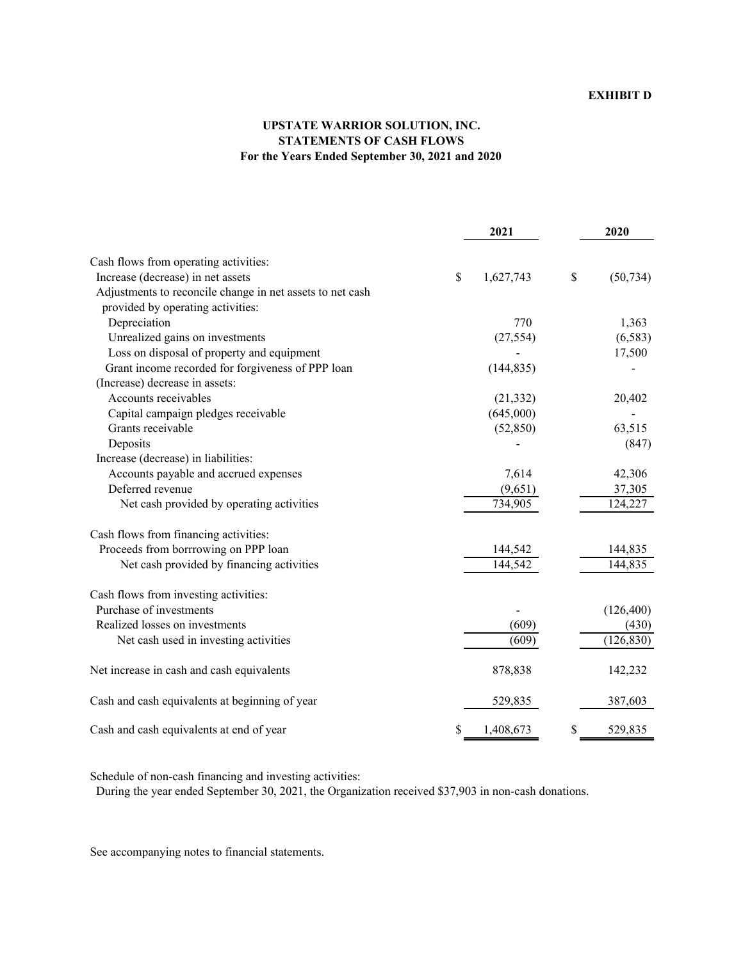# **UPSTATE WARRIOR SOLUTION, INC. STATEMENTS OF CASH FLOWS For the Years Ended September 30, 2021 and 2020**

|                                                           | 2021            | 2020            |
|-----------------------------------------------------------|-----------------|-----------------|
| Cash flows from operating activities:                     |                 |                 |
| Increase (decrease) in net assets                         | \$<br>1,627,743 | \$<br>(50, 734) |
| Adjustments to reconcile change in net assets to net cash |                 |                 |
| provided by operating activities:                         |                 |                 |
| Depreciation                                              | 770             | 1,363           |
| Unrealized gains on investments                           | (27, 554)       | (6, 583)        |
| Loss on disposal of property and equipment                |                 | 17,500          |
| Grant income recorded for forgiveness of PPP loan         | (144, 835)      |                 |
| (Increase) decrease in assets:                            |                 |                 |
| Accounts receivables                                      | (21, 332)       | 20,402          |
| Capital campaign pledges receivable                       | (645,000)       |                 |
| Grants receivable                                         | (52, 850)       | 63,515          |
| Deposits                                                  |                 | (847)           |
| Increase (decrease) in liabilities:                       |                 |                 |
| Accounts payable and accrued expenses                     | 7,614           | 42,306          |
| Deferred revenue                                          | (9,651)         | 37,305          |
| Net cash provided by operating activities                 | 734,905         | 124,227         |
| Cash flows from financing activities:                     |                 |                 |
| Proceeds from borrrowing on PPP loan                      | 144,542         | 144,835         |
| Net cash provided by financing activities                 | 144,542         | 144,835         |
| Cash flows from investing activities:                     |                 |                 |
| Purchase of investments                                   |                 | (126, 400)      |
| Realized losses on investments                            | (609)           | (430)           |
| Net cash used in investing activities                     | (609)           | (126, 830)      |
| Net increase in cash and cash equivalents                 | 878,838         | 142,232         |
| Cash and cash equivalents at beginning of year            | 529,835         | 387,603         |
| Cash and cash equivalents at end of year                  | \$<br>1,408,673 | \$<br>529,835   |

Schedule of non-cash financing and investing activities:

During the year ended September 30, 2021, the Organization received \$37,903 in non-cash donations.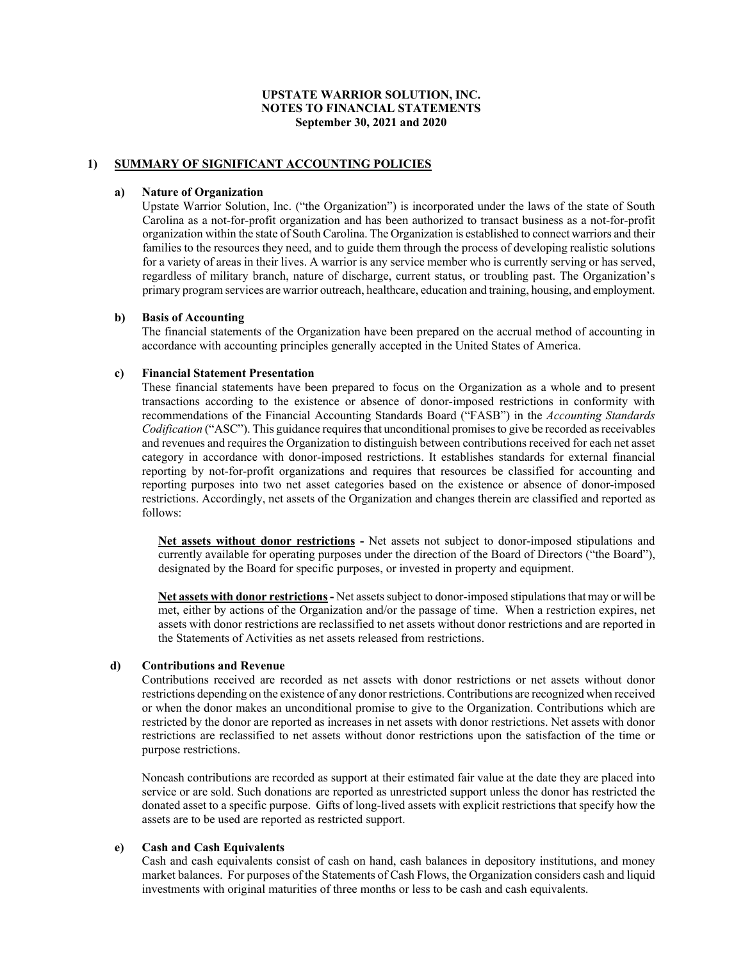## **1) SUMMARY OF SIGNIFICANT ACCOUNTING POLICIES**

#### **a) Nature of Organization**

Upstate Warrior Solution, Inc. ("the Organization") is incorporated under the laws of the state of South Carolina as a not-for-profit organization and has been authorized to transact business as a not-for-profit organization within the state of South Carolina. The Organization is established to connect warriors and their families to the resources they need, and to guide them through the process of developing realistic solutions for a variety of areas in their lives. A warrior is any service member who is currently serving or has served, regardless of military branch, nature of discharge, current status, or troubling past. The Organization's primary program services are warrior outreach, healthcare, education and training, housing, and employment.

#### **b) Basis of Accounting**

The financial statements of the Organization have been prepared on the accrual method of accounting in accordance with accounting principles generally accepted in the United States of America.

#### **c) Financial Statement Presentation**

These financial statements have been prepared to focus on the Organization as a whole and to present transactions according to the existence or absence of donor-imposed restrictions in conformity with recommendations of the Financial Accounting Standards Board ("FASB") in the *Accounting Standards Codification* ("ASC"). This guidance requires that unconditional promises to give be recorded as receivables and revenues and requires the Organization to distinguish between contributions received for each net asset category in accordance with donor-imposed restrictions. It establishes standards for external financial reporting by not-for-profit organizations and requires that resources be classified for accounting and reporting purposes into two net asset categories based on the existence or absence of donor-imposed restrictions. Accordingly, net assets of the Organization and changes therein are classified and reported as follows:

**Net assets without donor restrictions -** Net assets not subject to donor-imposed stipulations and currently available for operating purposes under the direction of the Board of Directors ("the Board"), designated by the Board for specific purposes, or invested in property and equipment.

**Net assets with donor restrictions -** Net assets subject to donor-imposed stipulations that may or will be met, either by actions of the Organization and/or the passage of time. When a restriction expires, net assets with donor restrictions are reclassified to net assets without donor restrictions and are reported in the Statements of Activities as net assets released from restrictions.

### **d) Contributions and Revenue**

Contributions received are recorded as net assets with donor restrictions or net assets without donor restrictions depending on the existence of any donor restrictions. Contributions are recognized when received or when the donor makes an unconditional promise to give to the Organization. Contributions which are restricted by the donor are reported as increases in net assets with donor restrictions. Net assets with donor restrictions are reclassified to net assets without donor restrictions upon the satisfaction of the time or purpose restrictions.

Noncash contributions are recorded as support at their estimated fair value at the date they are placed into service or are sold. Such donations are reported as unrestricted support unless the donor has restricted the donated asset to a specific purpose. Gifts of long-lived assets with explicit restrictions that specify how the assets are to be used are reported as restricted support.

#### **e) Cash and Cash Equivalents**

Cash and cash equivalents consist of cash on hand, cash balances in depository institutions, and money market balances. For purposes of the Statements of Cash Flows, the Organization considers cash and liquid investments with original maturities of three months or less to be cash and cash equivalents.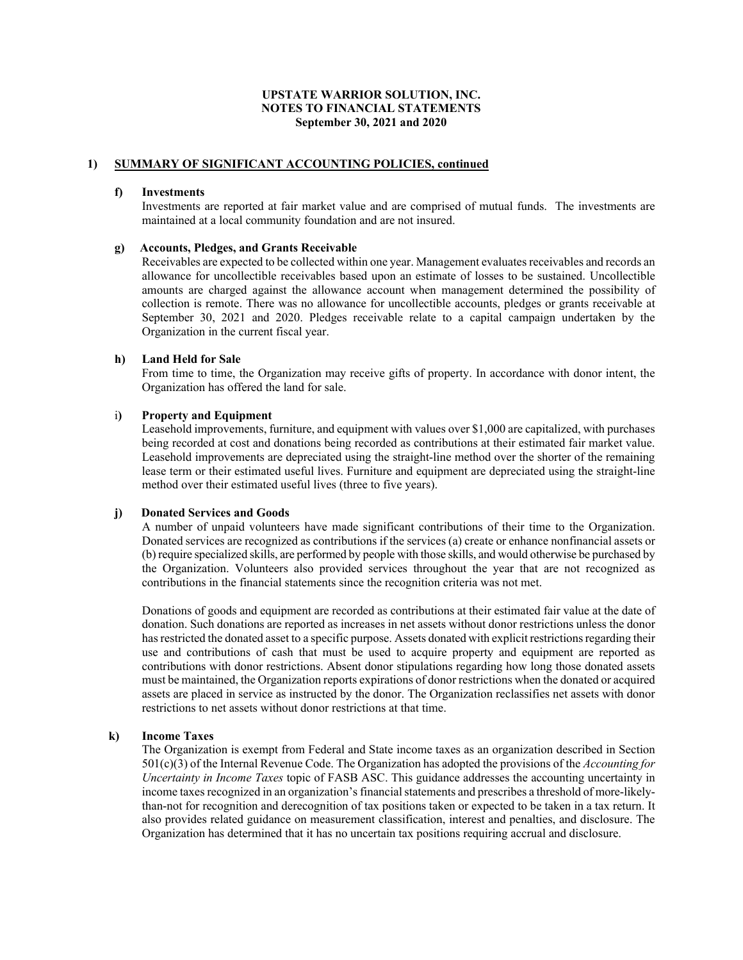## **1) SUMMARY OF SIGNIFICANT ACCOUNTING POLICIES, continued**

#### **f) Investments**

Investments are reported at fair market value and are comprised of mutual funds. The investments are maintained at a local community foundation and are not insured.

#### **g) Accounts, Pledges, and Grants Receivable**

Receivables are expected to be collected within one year. Management evaluates receivables and records an allowance for uncollectible receivables based upon an estimate of losses to be sustained. Uncollectible amounts are charged against the allowance account when management determined the possibility of collection is remote. There was no allowance for uncollectible accounts, pledges or grants receivable at September 30, 2021 and 2020. Pledges receivable relate to a capital campaign undertaken by the Organization in the current fiscal year.

#### **h) Land Held for Sale**

From time to time, the Organization may receive gifts of property. In accordance with donor intent, the Organization has offered the land for sale.

#### i**) Property and Equipment**

Leasehold improvements, furniture, and equipment with values over \$1,000 are capitalized, with purchases being recorded at cost and donations being recorded as contributions at their estimated fair market value. Leasehold improvements are depreciated using the straight-line method over the shorter of the remaining lease term or their estimated useful lives. Furniture and equipment are depreciated using the straight-line method over their estimated useful lives (three to five years).

### **j) Donated Services and Goods**

A number of unpaid volunteers have made significant contributions of their time to the Organization. Donated services are recognized as contributions if the services (a) create or enhance nonfinancial assets or (b) require specialized skills, are performed by people with those skills, and would otherwise be purchased by the Organization. Volunteers also provided services throughout the year that are not recognized as contributions in the financial statements since the recognition criteria was not met.

Donations of goods and equipment are recorded as contributions at their estimated fair value at the date of donation. Such donations are reported as increases in net assets without donor restrictions unless the donor has restricted the donated asset to a specific purpose. Assets donated with explicit restrictions regarding their use and contributions of cash that must be used to acquire property and equipment are reported as contributions with donor restrictions. Absent donor stipulations regarding how long those donated assets must be maintained, the Organization reports expirations of donor restrictions when the donated or acquired assets are placed in service as instructed by the donor. The Organization reclassifies net assets with donor restrictions to net assets without donor restrictions at that time.

#### **k) Income Taxes**

The Organization is exempt from Federal and State income taxes as an organization described in Section 501(c)(3) of the Internal Revenue Code. The Organization has adopted the provisions of the *Accounting for Uncertainty in Income Taxes* topic of FASB ASC. This guidance addresses the accounting uncertainty in income taxes recognized in an organization's financial statements and prescribes a threshold of more-likelythan-not for recognition and derecognition of tax positions taken or expected to be taken in a tax return. It also provides related guidance on measurement classification, interest and penalties, and disclosure. The Organization has determined that it has no uncertain tax positions requiring accrual and disclosure.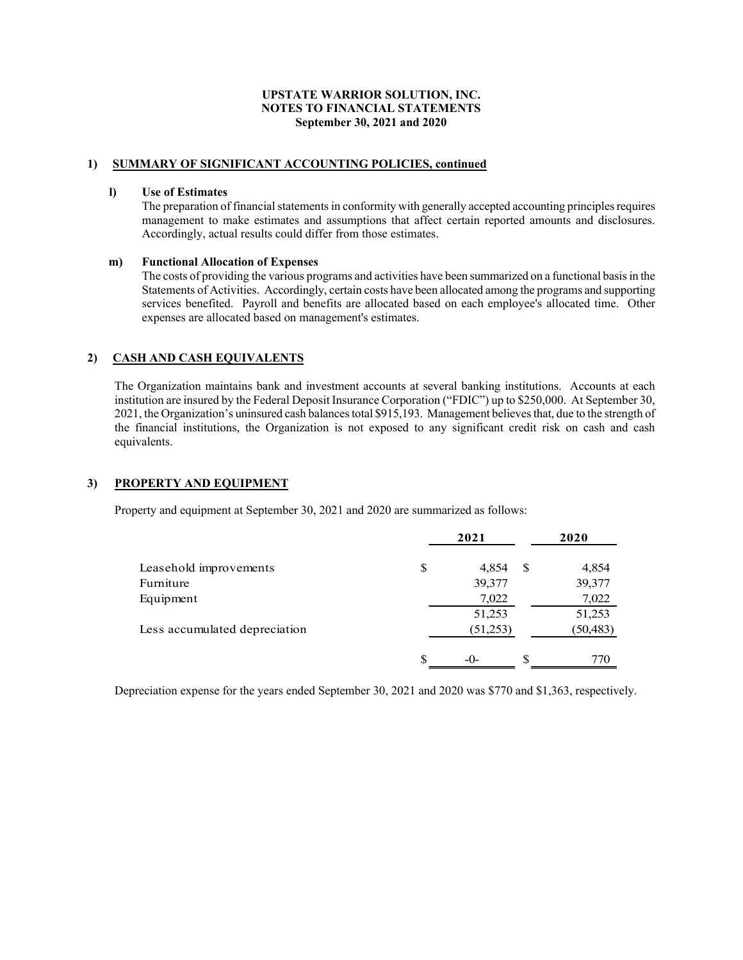## **1) SUMMARY OF SIGNIFICANT ACCOUNTING POLICIES, continued**

#### **l) Use of Estimates**

The preparation of financial statements in conformity with generally accepted accounting principles requires management to make estimates and assumptions that affect certain reported amounts and disclosures. Accordingly, actual results could differ from those estimates.

#### **m) Functional Allocation of Expenses**

The costs of providing the various programs and activities have been summarized on a functional basis in the Statements of Activities. Accordingly, certain costs have been allocated among the programs and supporting services benefited. Payroll and benefits are allocated based on each employee's allocated time. Other expenses are allocated based on management's estimates.

## **2) CASH AND CASH EQUIVALENTS**

 The Organization maintains bank and investment accounts at several banking institutions. Accounts at each institution are insured by the Federal Deposit Insurance Corporation ("FDIC") up to \$250,000. At September 30, 2021, the Organization's uninsured cash balances total \$915,193. Management believes that, due to the strength of the financial institutions, the Organization is not exposed to any significant credit risk on cash and cash equivalents.

## **3) PROPERTY AND EQUIPMENT**

Property and equipment at September 30, 2021 and 2020 are summarized as follows:

|                               | 2021        |     | 2020      |
|-------------------------------|-------------|-----|-----------|
| Leasehold improvements        | \$<br>4,854 | S   | 4,854     |
| Furniture                     | 39,377      |     | 39,377    |
| Equipment                     | 7,022       |     | 7,022     |
|                               | 51,253      |     | 51,253    |
| Less accumulated depreciation | (51,253)    |     | (50, 483) |
|                               | \$<br>$-0-$ | \$. | 770       |

Depreciation expense for the years ended September 30, 2021 and 2020 was \$770 and \$1,363, respectively.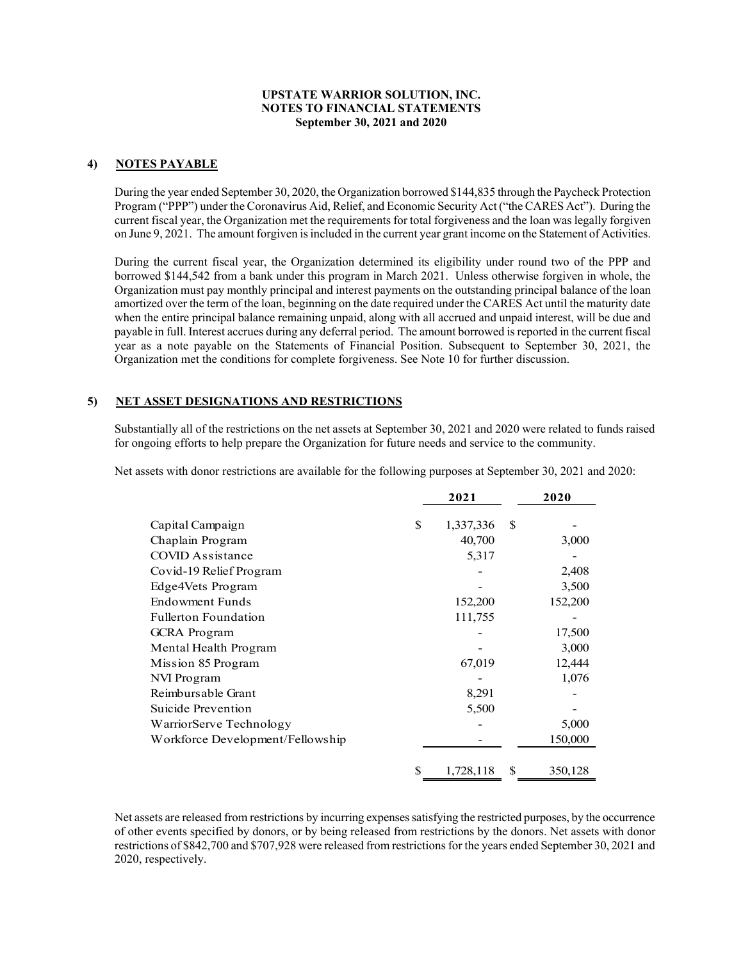## **4) NOTES PAYABLE**

During the year ended September 30, 2020, the Organization borrowed \$144,835 through the Paycheck Protection Program ("PPP") under the Coronavirus Aid, Relief, and Economic Security Act ("the CARES Act"). During the current fiscal year, the Organization met the requirements for total forgiveness and the loan was legally forgiven on June 9, 2021. The amount forgiven is included in the current year grant income on the Statement of Activities.

During the current fiscal year, the Organization determined its eligibility under round two of the PPP and borrowed \$144,542 from a bank under this program in March 2021. Unless otherwise forgiven in whole, the Organization must pay monthly principal and interest payments on the outstanding principal balance of the loan amortized over the term of the loan, beginning on the date required under the CARES Act until the maturity date when the entire principal balance remaining unpaid, along with all accrued and unpaid interest, will be due and payable in full. Interest accrues during any deferral period. The amount borrowed is reported in the current fiscal year as a note payable on the Statements of Financial Position. Subsequent to September 30, 2021, the Organization met the conditions for complete forgiveness. See Note 10 for further discussion.

### **5) NET ASSET DESIGNATIONS AND RESTRICTIONS**

Substantially all of the restrictions on the net assets at September 30, 2021 and 2020 were related to funds raised for ongoing efforts to help prepare the Organization for future needs and service to the community.

Net assets with donor restrictions are available for the following purposes at September 30, 2021 and 2020:

|                                  |    | 2021      |    | 2020    |
|----------------------------------|----|-----------|----|---------|
| Capital Campaign                 | S  | 1,337,336 | S  |         |
| Chaplain Program                 |    | 40,700    |    | 3,000   |
| COVID Assistance                 |    | 5,317     |    |         |
| Covid-19 Relief Program          |    |           |    | 2,408   |
| Edge4Vets Program                |    |           |    | 3,500   |
| Endowment Funds                  |    | 152,200   |    | 152,200 |
| <b>Fullerton Foundation</b>      |    | 111,755   |    |         |
| <b>GCRA</b> Program              |    |           |    | 17,500  |
| Mental Health Program            |    |           |    | 3,000   |
| Mission 85 Program               |    | 67,019    |    | 12,444  |
| NVI Program                      |    |           |    | 1,076   |
| Reimbursable Grant               |    | 8,291     |    |         |
| Suicide Prevention               |    | 5,500     |    |         |
| WarriorServe Technology          |    |           |    | 5,000   |
| Workforce Development/Fellowship |    |           |    | 150,000 |
|                                  | \$ | 1,728,118 | \$ | 350,128 |

Net assets are released from restrictions by incurring expenses satisfying the restricted purposes, by the occurrence of other events specified by donors, or by being released from restrictions by the donors. Net assets with donor restrictions of \$842,700 and \$707,928 were released from restrictions for the years ended September 30, 2021 and 2020, respectively.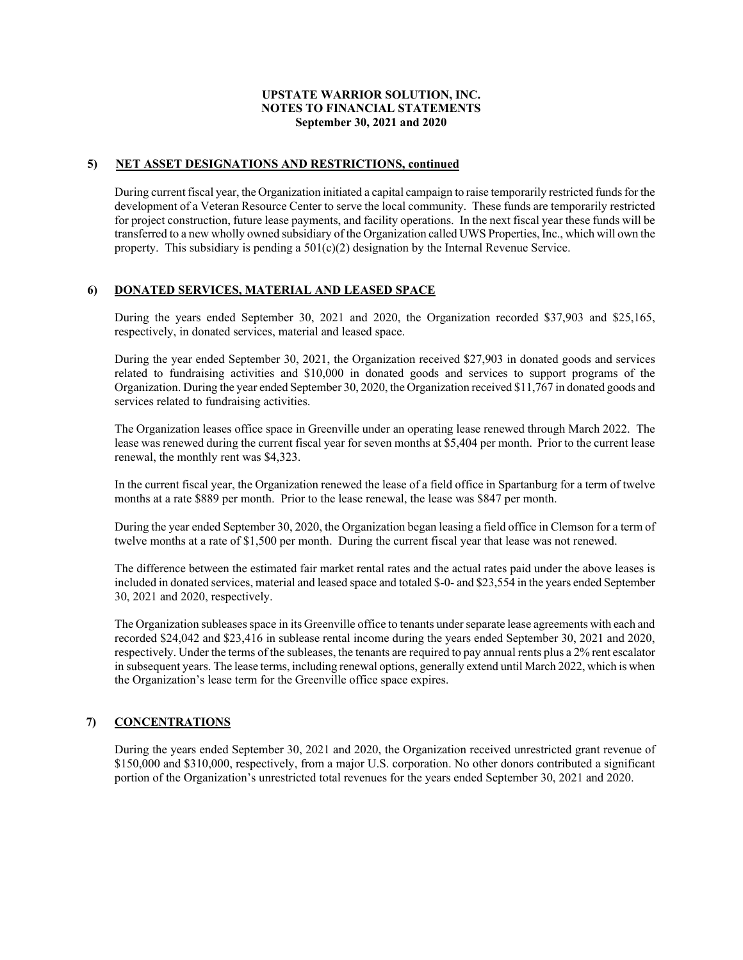### **5) NET ASSET DESIGNATIONS AND RESTRICTIONS, continued**

During current fiscal year, the Organization initiated a capital campaign to raise temporarily restricted funds for the development of a Veteran Resource Center to serve the local community. These funds are temporarily restricted for project construction, future lease payments, and facility operations. In the next fiscal year these funds will be transferred to a new wholly owned subsidiary of the Organization called UWS Properties, Inc., which will own the property. This subsidiary is pending a  $501(c)(2)$  designation by the Internal Revenue Service.

## **6) DONATED SERVICES, MATERIAL AND LEASED SPACE**

During the years ended September 30, 2021 and 2020, the Organization recorded \$37,903 and \$25,165, respectively, in donated services, material and leased space.

During the year ended September 30, 2021, the Organization received \$27,903 in donated goods and services related to fundraising activities and \$10,000 in donated goods and services to support programs of the Organization. During the year ended September 30, 2020, the Organization received \$11,767 in donated goods and services related to fundraising activities.

The Organization leases office space in Greenville under an operating lease renewed through March 2022. The lease was renewed during the current fiscal year for seven months at \$5,404 per month. Prior to the current lease renewal, the monthly rent was \$4,323.

In the current fiscal year, the Organization renewed the lease of a field office in Spartanburg for a term of twelve months at a rate \$889 per month. Prior to the lease renewal, the lease was \$847 per month.

During the year ended September 30, 2020, the Organization began leasing a field office in Clemson for a term of twelve months at a rate of \$1,500 per month. During the current fiscal year that lease was not renewed.

The difference between the estimated fair market rental rates and the actual rates paid under the above leases is included in donated services, material and leased space and totaled \$-0- and \$23,554 in the years ended September 30, 2021 and 2020, respectively.

The Organization subleases space in its Greenville office to tenants under separate lease agreements with each and recorded \$24,042 and \$23,416 in sublease rental income during the years ended September 30, 2021 and 2020, respectively. Under the terms of the subleases, the tenants are required to pay annual rents plus a 2% rent escalator in subsequent years. The lease terms, including renewal options, generally extend until March 2022, which is when the Organization's lease term for the Greenville office space expires.

## **7) CONCENTRATIONS**

During the years ended September 30, 2021 and 2020, the Organization received unrestricted grant revenue of \$150,000 and \$310,000, respectively, from a major U.S. corporation. No other donors contributed a significant portion of the Organization's unrestricted total revenues for the years ended September 30, 2021 and 2020.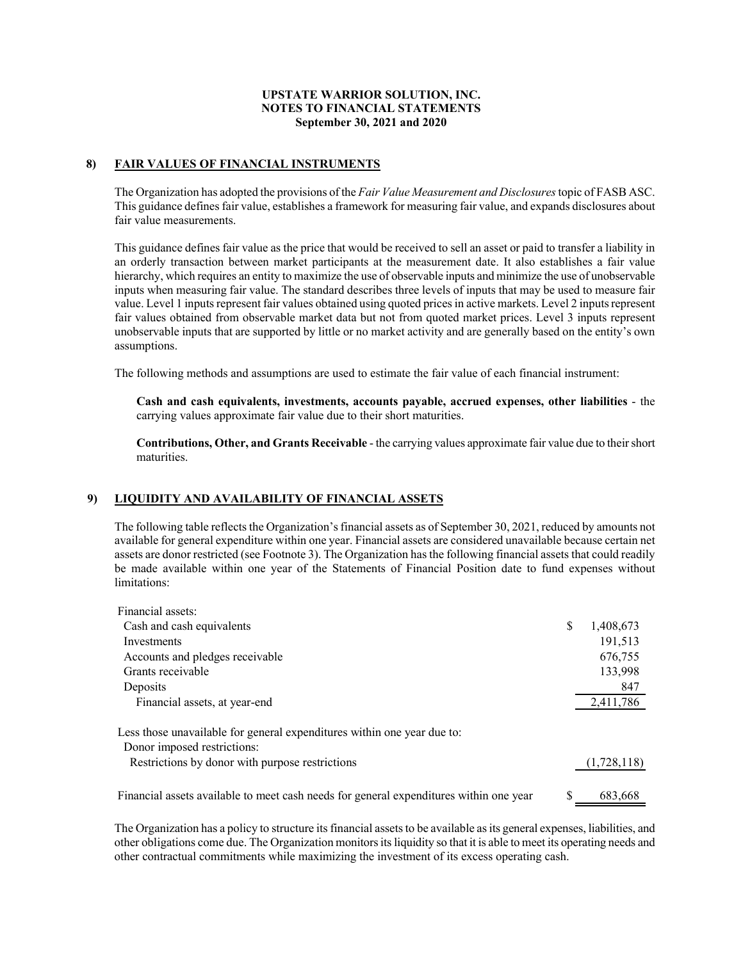## **8) FAIR VALUES OF FINANCIAL INSTRUMENTS**

The Organization has adopted the provisions of the *Fair Value Measurement and Disclosures* topic of FASB ASC. This guidance defines fair value, establishes a framework for measuring fair value, and expands disclosures about fair value measurements.

This guidance defines fair value as the price that would be received to sell an asset or paid to transfer a liability in an orderly transaction between market participants at the measurement date. It also establishes a fair value hierarchy, which requires an entity to maximize the use of observable inputs and minimize the use of unobservable inputs when measuring fair value. The standard describes three levels of inputs that may be used to measure fair value. Level 1 inputs represent fair values obtained using quoted prices in active markets. Level 2 inputs represent fair values obtained from observable market data but not from quoted market prices. Level 3 inputs represent unobservable inputs that are supported by little or no market activity and are generally based on the entity's own assumptions.

The following methods and assumptions are used to estimate the fair value of each financial instrument:

**Cash and cash equivalents, investments, accounts payable, accrued expenses, other liabilities** - the carrying values approximate fair value due to their short maturities.

**Contributions, Other, and Grants Receivable** - the carrying values approximate fair value due to their short maturities.

#### **9) LIQUIDITY AND AVAILABILITY OF FINANCIAL ASSETS**

The following table reflects the Organization's financial assets as of September 30, 2021, reduced by amounts not available for general expenditure within one year. Financial assets are considered unavailable because certain net assets are donor restricted (see Footnote 3). The Organization has the following financial assets that could readily be made available within one year of the Statements of Financial Position date to fund expenses without limitations:

| Financial assets:                                                                      |    |             |
|----------------------------------------------------------------------------------------|----|-------------|
| Cash and cash equivalents                                                              | \$ | 1,408,673   |
| Investments                                                                            |    | 191,513     |
| Accounts and pledges receivable                                                        |    | 676,755     |
| Grants receivable                                                                      |    | 133,998     |
| Deposits                                                                               |    | 847         |
| Financial assets, at year-end                                                          |    | 2,411,786   |
| Less those unavailable for general expenditures within one year due to:                |    |             |
| Donor imposed restrictions:                                                            |    |             |
| Restrictions by donor with purpose restrictions                                        |    | (1,728,118) |
| Financial assets available to meet cash needs for general expenditures within one year | S  | 683,668     |

The Organization has a policy to structure its financial assets to be available as its general expenses, liabilities, and other obligations come due. The Organization monitors its liquidity so that it is able to meet its operating needs and other contractual commitments while maximizing the investment of its excess operating cash.